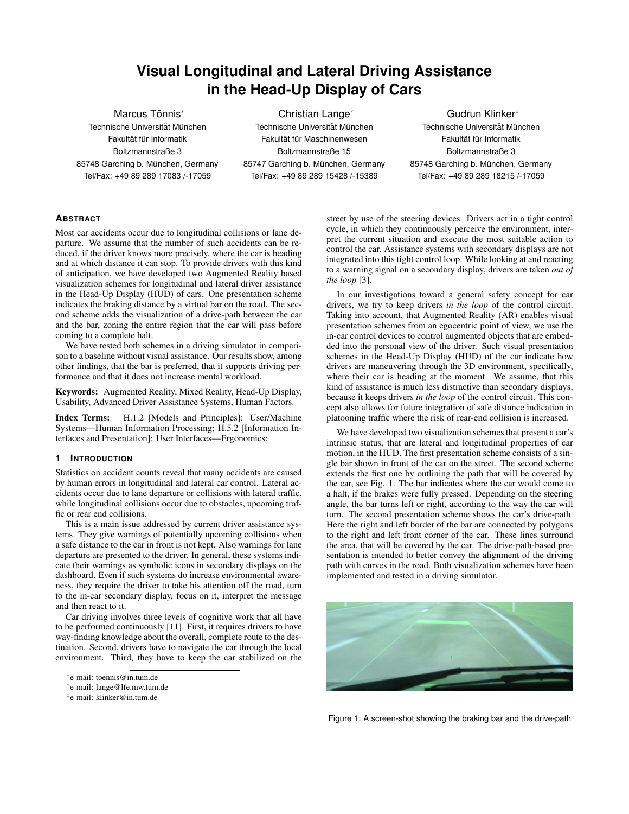# **Visual Longitudinal and Lateral Driving Assistance in the Head-Up Display of Cars**

Marcus Tönnis<sup>\*</sup> Technische Universität München Fakultät für Informatik Boltzmannstraße 3 85748 Garching b. München, Germany Tel/Fax: +49 89 289 17083 /-17059

Christian Lange† Technische Universität München Fakultät für Maschinenwesen Boltzmannstraße 15 85747 Garching b. München, Germany Tel/Fax: +49 89 289 15428 /-15389

Gudrun Klinker‡ Technische Universität München Fakultät für Informatik Boltzmannstraße 3 85748 Garching b. München, Germany Tel/Fax: +49 89 289 18215 /-17059

## **ABSTRACT**

Most car accidents occur due to longitudinal collisions or lane departure. We assume that the number of such accidents can be reduced, if the driver knows more precisely, where the car is heading and at which distance it can stop. To provide drivers with this kind of anticipation, we have developed two Augmented Reality based visualization schemes for longitudinal and lateral driver assistance in the Head-Up Display (HUD) of cars. One presentation scheme indicates the braking distance by a virtual bar on the road. The second scheme adds the visualization of a drive-path between the car and the bar, zoning the entire region that the car will pass before coming to a complete halt.

We have tested both schemes in a driving simulator in comparison to a baseline without visual assistance. Our results show, among other findings, that the bar is preferred, that it supports driving performance and that it does not increase mental workload.

Keywords: Augmented Reality, Mixed Reality, Head-Up Display, Usability, Advanced Driver Assistance Systems, Human Factors.

Index Terms: H.1.2 [Models and Principles]: User/Machine Systems—Human Information Processing; H.5.2 [Information Interfaces and Presentation]: User Interfaces—Ergonomics;

## **1 INTRODUCTION**

Statistics on accident counts reveal that many accidents are caused by human errors in longitudinal and lateral car control. Lateral accidents occur due to lane departure or collisions with lateral traffic, while longitudinal collisions occur due to obstacles, upcoming traffic or rear end collisions.

This is a main issue addressed by current driver assistance systems. They give warnings of potentially upcoming collisions when a safe distance to the car in front is not kept. Also warnings for lane departure are presented to the driver. In general, these systems indicate their warnings as symbolic icons in secondary displays on the dashboard. Even if such systems do increase environmental awareness, they require the driver to take his attention off the road, turn to the in-car secondary display, focus on it, interpret the message and then react to it.

Car driving involves three levels of cognitive work that all have to be performed continuously [11]. First, it requires drivers to have way-finding knowledge about the overall, complete route to the destination. Second, drivers have to navigate the car through the local environment. Third, they have to keep the car stabilized on the street by use of the steering devices. Drivers act in a tight control cycle, in which they continuously perceive the environment, interpret the current situation and execute the most suitable action to control the car. Assistance systems with secondary displays are not integrated into this tight control loop. While looking at and reacting to a warning signal on a secondary display, drivers are taken *out of the loop* [3].

In our investigations toward a general safety concept for car drivers, we try to keep drivers *in the loop* of the control circuit. Taking into account, that Augmented Reality (AR) enables visual presentation schemes from an egocentric point of view, we use the in-car control devices to control augmented objects that are embedded into the personal view of the driver. Such visual presentation schemes in the Head-Up Display (HUD) of the car indicate how drivers are maneuvering through the 3D environment, specifically, where their car is heading at the moment. We assume, that this kind of assistance is much less distractive than secondary displays, because it keeps drivers *in the loop* of the control circuit. This concept also allows for future integration of safe distance indication in platooning traffic where the risk of rear-end collision is increased.

We have developed two visualization schemes that present a car's intrinsic status, that are lateral and longitudinal properties of car motion, in the HUD. The first presentation scheme consists of a single bar shown in front of the car on the street. The second scheme extends the first one by outlining the path that will be covered by the car, see Fig. 1. The bar indicates where the car would come to a halt, if the brakes were fully pressed. Depending on the steering angle, the bar turns left or right, according to the way the car will turn. The second presentation scheme shows the car's drive-path. Here the right and left border of the bar are connected by polygons to the right and left front corner of the car. These lines surround the area, that will be covered by the car. The drive-path-based presentation is intended to better convey the alignment of the driving path with curves in the road. Both visualization schemes have been implemented and tested in a driving simulator.



Figure 1: A screen-shot showing the braking bar and the drive-path

<sup>∗</sup> e-mail: toennis@in.tum.de

<sup>†</sup> e-mail: lange@lfe.mw.tum.de

<sup>‡</sup> e-mail: klinker@in.tum.de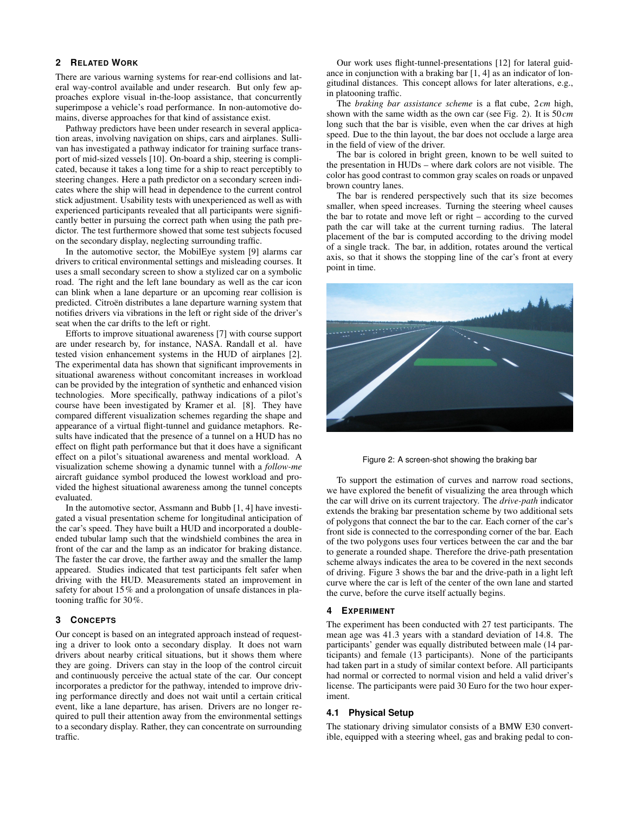## **2 RELATED WORK**

There are various warning systems for rear-end collisions and lateral way-control available and under research. But only few approaches explore visual in-the-loop assistance, that concurrently superimpose a vehicle's road performance. In non-automotive domains, diverse approaches for that kind of assistance exist.

Pathway predictors have been under research in several application areas, involving navigation on ships, cars and airplanes. Sullivan has investigated a pathway indicator for training surface transport of mid-sized vessels [10]. On-board a ship, steering is complicated, because it takes a long time for a ship to react perceptibly to steering changes. Here a path predictor on a secondary screen indicates where the ship will head in dependence to the current control stick adjustment. Usability tests with unexperienced as well as with experienced participants revealed that all participants were significantly better in pursuing the correct path when using the path predictor. The test furthermore showed that some test subjects focused on the secondary display, neglecting surrounding traffic.

In the automotive sector, the MobilEye system [9] alarms car drivers to critical environmental settings and misleading courses. It uses a small secondary screen to show a stylized car on a symbolic road. The right and the left lane boundary as well as the car icon can blink when a lane departure or an upcoming rear collision is predicted. Citroën distributes a lane departure warning system that notifies drivers via vibrations in the left or right side of the driver's seat when the car drifts to the left or right.

Efforts to improve situational awareness [7] with course support are under research by, for instance, NASA. Randall et al. have tested vision enhancement systems in the HUD of airplanes [2]. The experimental data has shown that significant improvements in situational awareness without concomitant increases in workload can be provided by the integration of synthetic and enhanced vision technologies. More specifically, pathway indications of a pilot's course have been investigated by Kramer et al. [8]. They have compared different visualization schemes regarding the shape and appearance of a virtual flight-tunnel and guidance metaphors. Results have indicated that the presence of a tunnel on a HUD has no effect on flight path performance but that it does have a significant effect on a pilot's situational awareness and mental workload. A visualization scheme showing a dynamic tunnel with a *follow-me* aircraft guidance symbol produced the lowest workload and provided the highest situational awareness among the tunnel concepts evaluated.

In the automotive sector, Assmann and Bubb [1, 4] have investigated a visual presentation scheme for longitudinal anticipation of the car's speed. They have built a HUD and incorporated a doubleended tubular lamp such that the windshield combines the area in front of the car and the lamp as an indicator for braking distance. The faster the car drove, the farther away and the smaller the lamp appeared. Studies indicated that test participants felt safer when driving with the HUD. Measurements stated an improvement in safety for about 15% and a prolongation of unsafe distances in platooning traffic for 30%.

#### **3 CONCEPTS**

Our concept is based on an integrated approach instead of requesting a driver to look onto a secondary display. It does not warn drivers about nearby critical situations, but it shows them where they are going. Drivers can stay in the loop of the control circuit and continuously perceive the actual state of the car. Our concept incorporates a predictor for the pathway, intended to improve driving performance directly and does not wait until a certain critical event, like a lane departure, has arisen. Drivers are no longer required to pull their attention away from the environmental settings to a secondary display. Rather, they can concentrate on surrounding traffic.

Our work uses flight-tunnel-presentations [12] for lateral guidance in conjunction with a braking bar [1, 4] as an indicator of longitudinal distances. This concept allows for later alterations, e.g., in platooning traffic.

The *braking bar assistance scheme* is a flat cube, 2*cm* high, shown with the same width as the own car (see Fig. 2). It is 50*cm* long such that the bar is visible, even when the car drives at high speed. Due to the thin layout, the bar does not occlude a large area in the field of view of the driver.

The bar is colored in bright green, known to be well suited to the presentation in HUDs – where dark colors are not visible. The color has good contrast to common gray scales on roads or unpaved brown country lanes.

The bar is rendered perspectively such that its size becomes smaller, when speed increases. Turning the steering wheel causes the bar to rotate and move left or right – according to the curved path the car will take at the current turning radius. The lateral placement of the bar is computed according to the driving model of a single track. The bar, in addition, rotates around the vertical axis, so that it shows the stopping line of the car's front at every point in time.



Figure 2: A screen-shot showing the braking bar

To support the estimation of curves and narrow road sections, we have explored the benefit of visualizing the area through which the car will drive on its current trajectory. The *drive-path* indicator extends the braking bar presentation scheme by two additional sets of polygons that connect the bar to the car. Each corner of the car's front side is connected to the corresponding corner of the bar. Each of the two polygons uses four vertices between the car and the bar to generate a rounded shape. Therefore the drive-path presentation scheme always indicates the area to be covered in the next seconds of driving. Figure 3 shows the bar and the drive-path in a light left curve where the car is left of the center of the own lane and started the curve, before the curve itself actually begins.

#### **4 EXPERIMENT**

The experiment has been conducted with 27 test participants. The mean age was 41.3 years with a standard deviation of 14.8. The participants' gender was equally distributed between male (14 participants) and female (13 participants). None of the participants had taken part in a study of similar context before. All participants had normal or corrected to normal vision and held a valid driver's license. The participants were paid 30 Euro for the two hour experiment.

#### **4.1 Physical Setup**

The stationary driving simulator consists of a BMW E30 convertible, equipped with a steering wheel, gas and braking pedal to con-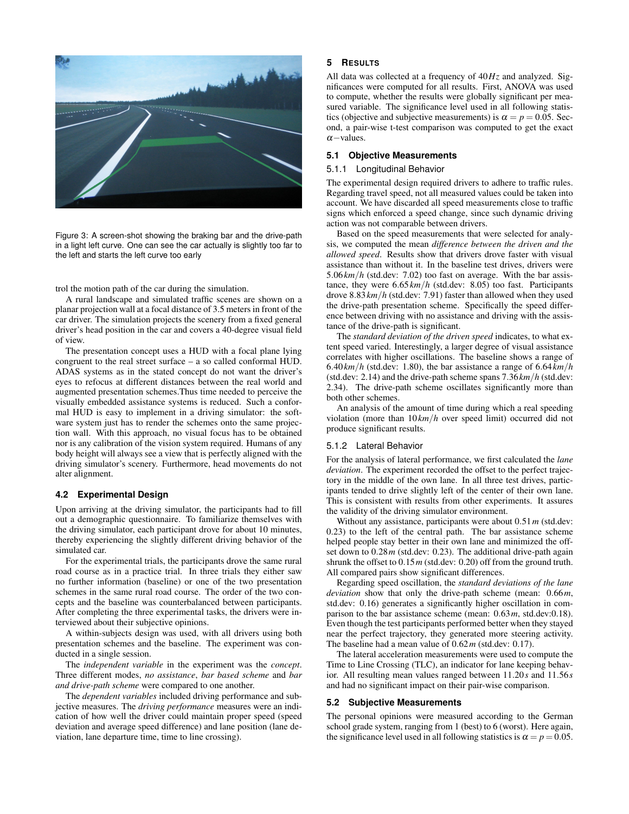

Figure 3: A screen-shot showing the braking bar and the drive-path in a light left curve. One can see the car actually is slightly too far to the left and starts the left curve too early

trol the motion path of the car during the simulation.

A rural landscape and simulated traffic scenes are shown on a planar projection wall at a focal distance of 3.5 meters in front of the car driver. The simulation projects the scenery from a fixed general driver's head position in the car and covers a 40-degree visual field of view.

The presentation concept uses a HUD with a focal plane lying congruent to the real street surface – a so called conformal HUD. ADAS systems as in the stated concept do not want the driver's eyes to refocus at different distances between the real world and augmented presentation schemes.Thus time needed to perceive the visually embedded assistance systems is reduced. Such a conformal HUD is easy to implement in a driving simulator: the software system just has to render the schemes onto the same projection wall. With this approach, no visual focus has to be obtained nor is any calibration of the vision system required. Humans of any body height will always see a view that is perfectly aligned with the driving simulator's scenery. Furthermore, head movements do not alter alignment.

#### **4.2 Experimental Design**

Upon arriving at the driving simulator, the participants had to fill out a demographic questionnaire. To familiarize themselves with the driving simulator, each participant drove for about 10 minutes, thereby experiencing the slightly different driving behavior of the simulated car.

For the experimental trials, the participants drove the same rural road course as in a practice trial. In three trials they either saw no further information (baseline) or one of the two presentation schemes in the same rural road course. The order of the two concepts and the baseline was counterbalanced between participants. After completing the three experimental tasks, the drivers were interviewed about their subjective opinions.

A within-subjects design was used, with all drivers using both presentation schemes and the baseline. The experiment was conducted in a single session.

The *independent variable* in the experiment was the *concept*. Three different modes, *no assistance*, *bar based scheme* and *bar and drive-path scheme* were compared to one another.

The *dependent variables* included driving performance and subjective measures. The *driving performance* measures were an indication of how well the driver could maintain proper speed (speed deviation and average speed difference) and lane position (lane deviation, lane departure time, time to line crossing).

### **5 RESULTS**

All data was collected at a frequency of 40*Hz* and analyzed. Significances were computed for all results. First, ANOVA was used to compute, whether the results were globally significant per measured variable. The significance level used in all following statistics (objective and subjective measurements) is  $\alpha = p = 0.05$ . Second, a pair-wise t-test comparison was computed to get the exact  $\alpha$  – values.

### **5.1 Objective Measurements**

## 5.1.1 Longitudinal Behavior

The experimental design required drivers to adhere to traffic rules. Regarding travel speed, not all measured values could be taken into account. We have discarded all speed measurements close to traffic signs which enforced a speed change, since such dynamic driving action was not comparable between drivers.

Based on the speed measurements that were selected for analysis, we computed the mean *difference between the driven and the allowed speed*. Results show that drivers drove faster with visual assistance than without it. In the baseline test drives, drivers were 5.06*km*/*h* (std.dev: 7.02) too fast on average. With the bar assistance, they were 6.65*km*/*h* (std.dev: 8.05) too fast. Participants drove 8.83*km*/*h* (std.dev: 7.91) faster than allowed when they used the drive-path presentation scheme. Specifically the speed difference between driving with no assistance and driving with the assistance of the drive-path is significant.

The *standard deviation of the driven speed* indicates, to what extent speed varied. Interestingly, a larger degree of visual assistance correlates with higher oscillations. The baseline shows a range of  $6.40 \, km/h$  (std.dev: 1.80), the bar assistance a range of  $6.64 \, km/h$ (std.dev: 2.14) and the drive-path scheme spans 7.36*km*/*h* (std.dev: 2.34). The drive-path scheme oscillates significantly more than both other schemes.

An analysis of the amount of time during which a real speeding violation (more than 10*km*/*h* over speed limit) occurred did not produce significant results.

#### 5.1.2 Lateral Behavior

For the analysis of lateral performance, we first calculated the *lane deviation*. The experiment recorded the offset to the perfect trajectory in the middle of the own lane. In all three test drives, participants tended to drive slightly left of the center of their own lane. This is consistent with results from other experiments. It assures the validity of the driving simulator environment.

Without any assistance, participants were about 0.51*m* (std.dev: 0.23) to the left of the central path. The bar assistance scheme helped people stay better in their own lane and minimized the offset down to 0.28*m* (std.dev: 0.23). The additional drive-path again shrunk the offset to  $0.15m$  (std.dev: 0.20) off from the ground truth. All compared pairs show significant differences.

Regarding speed oscillation, the *standard deviations of the lane deviation* show that only the drive-path scheme (mean: 0.66*m*, std.dev: 0.16) generates a significantly higher oscillation in comparison to the bar assistance scheme (mean: 0.63*m*, std.dev:0.18). Even though the test participants performed better when they stayed near the perfect trajectory, they generated more steering activity. The baseline had a mean value of 0.62*m* (std.dev: 0.17).

The lateral acceleration measurements were used to compute the Time to Line Crossing (TLC), an indicator for lane keeping behavior. All resulting mean values ranged between 11.20*s* and 11.56*s* and had no significant impact on their pair-wise comparison.

#### **5.2 Subjective Measurements**

The personal opinions were measured according to the German school grade system, ranging from 1 (best) to 6 (worst). Here again, the significance level used in all following statistics is  $\alpha = p = 0.05$ .